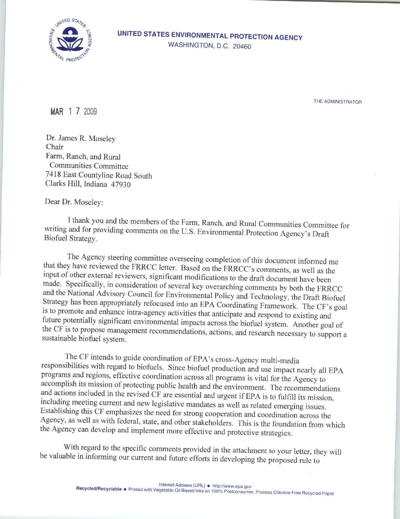

UNITED STATES ENVIRONMENTAL PROTECTION AGENCY WASHINGTON, D.C. 20460

THE ADMINISTRATOR

MAR 1 7 2009

Dr. James R. Moseley Chair Farm, Ranch, and Rural Communities Committee 7418 East Countyline Road South Clarks Hill, Indiana 47930

Dear Dr. Moseley:

I thank you and the members of the Farm, Ranch, and Rural Communities Committee for writing and for providing comments on the U.S. Environmental Protection Agency's Draft Biofuel Strategy .

The Agency steering committee overseeing completion of this document informed me<br>that they have reviewed the FRRCC letter. Based on the FRRCC's comments, as well as the<br>input of other external reviewers, significant modifi

The CF intends to guide coordination of EPA's cross-Agency multi-media responsibilities with regard to biofuels. Since biofuel production and use impact nearly all EPA accomplish its mission of protecting public health and the environment. The recommendations<br>and actions included in the revised CF are essential and urgent if EPA is to fulfill its mission,<br>including meeting current and ne

With regard to the specific comments provided in the attachment to your letter, they will be valuable in informing our current and future efforts in developing the proposed rule to